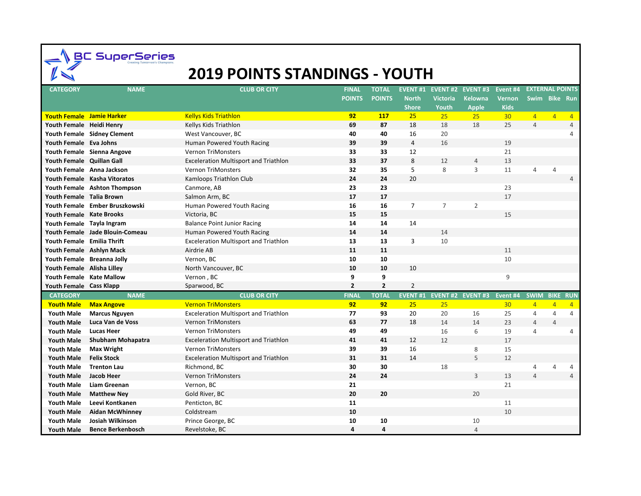SuperSeries

## **2019 POINTS STANDINGS - YOUTH**

| <b>CATEGORY</b>                  | <b>NAME</b>                     | <b>CLUB OR CITY</b>                          | <b>FINAL</b>   | <b>TOTAL</b>   |                |                 | EVENT #1 EVENT #2 EVENT #3 | Event #4           | <b>EXTERNAL POINTS</b> |                |                |
|----------------------------------|---------------------------------|----------------------------------------------|----------------|----------------|----------------|-----------------|----------------------------|--------------------|------------------------|----------------|----------------|
|                                  |                                 |                                              | <b>POINTS</b>  | <b>POINTS</b>  | <b>North</b>   | <b>Victoria</b> | <b>Kelowna</b>             | <b>Vernon</b>      | Swim Bike Run          |                |                |
|                                  |                                 |                                              |                |                | <b>Shore</b>   | Youth           | <b>Apple</b>               | <b>Kids</b>        |                        |                |                |
| <b>Youth Female Jamie Harker</b> |                                 | <b>Kellys Kids Triathlon</b>                 | 92             | <b>117</b>     | 25             | 25              | 25                         | 30 <sup>°</sup>    | $\overline{4}$         | $\overline{4}$ | $\overline{4}$ |
| Youth Female Heidi Henry         |                                 | Kellys Kids Triathlon                        | 69             | 87             | 18             | 18              | 18                         | 25                 | $\overline{4}$         |                | $\overline{4}$ |
|                                  | Youth Female Sidney Clement     | West Vancouver, BC                           | 40             | 40             | 16             | 20              |                            |                    |                        |                | Δ              |
| Youth Female Eva Johns           |                                 | Human Powered Youth Racing                   | 39             | 39             | $\overline{4}$ | 16              |                            | 19                 |                        |                |                |
|                                  | Youth Female Sienna Angove      | <b>Vernon TriMonsters</b>                    | 33             | 33             | 12             |                 |                            | 21                 |                        |                |                |
| Youth Female Quillan Gall        |                                 | <b>Exceleration Multisport and Triathlon</b> | 33             | 37             | 8              | 12              | $\overline{4}$             | 13                 |                        |                |                |
|                                  | Youth Female Anna Jackson       | Vernon TriMonsters                           | 32             | 35             | 5              | 8               | 3                          | 11                 | $\overline{4}$         | $\overline{4}$ |                |
|                                  | Youth Female Kasha Vitoratos    | Kamloops Triathlon Club                      | 24             | 24             | 20             |                 |                            |                    |                        |                | 4              |
|                                  | Youth Female Ashton Thompson    | Canmore, AB                                  | 23             | 23             |                |                 |                            | 23                 |                        |                |                |
| Youth Female Talia Brown         |                                 | Salmon Arm, BC                               | 17             | 17             |                |                 |                            | 17                 |                        |                |                |
|                                  | Youth Female Ember Bruszkowski  | Human Powered Youth Racing                   | 16             | 16             | 7              | $\overline{7}$  | $\overline{2}$             |                    |                        |                |                |
| Youth Female Kate Brooks         |                                 | Victoria, BC                                 | 15             | 15             |                |                 |                            | 15                 |                        |                |                |
| Youth Female Tayla Ingram        |                                 | <b>Balance Point Junior Racing</b>           | 14             | 14             | 14             |                 |                            |                    |                        |                |                |
|                                  | Youth Female Jade Blouin-Comeau | Human Powered Youth Racing                   | 14             | 14             |                | 14              |                            |                    |                        |                |                |
| Youth Female Emilia Thrift       |                                 | <b>Exceleration Multisport and Triathlon</b> | 13             | 13             | 3              | 10              |                            |                    |                        |                |                |
| Youth Female Ashlyn Mack         |                                 | Airdrie AB                                   | 11             | 11             |                |                 |                            | 11                 |                        |                |                |
|                                  | Youth Female Breanna Jolly      | Vernon, BC                                   | 10             | 10             |                |                 |                            | 10                 |                        |                |                |
| Youth Female Alisha Lilley       |                                 | North Vancouver, BC                          | 10             | 10             | 10             |                 |                            |                    |                        |                |                |
| Youth Female Kate Mallow         |                                 | Vernon, BC                                   | 9              | 9              |                |                 |                            | 9                  |                        |                |                |
| Youth Female Cass Klapp          |                                 | Sparwood, BC                                 | $\overline{2}$ | $\overline{2}$ | $\overline{2}$ |                 |                            |                    |                        |                |                |
| <b>CATEGORY</b>                  | <b>NAME</b>                     | <b>CLUB OR CITY</b>                          | <b>FINAL</b>   | <b>TOTAL</b>   | <b>EVENT#1</b> |                 | <b>EVENT #2 EVENT #3</b>   | Event #4 SWIM BIKE |                        |                | <b>RUN</b>     |
| <b>Youth Male</b>                | <b>Max Angove</b>               | <b>Vernon TriMonsters</b>                    | 92             | 92             | 25             | 25              |                            | 30                 | $\overline{4}$         | $\overline{4}$ | $\overline{4}$ |
| <b>Youth Male</b>                | <b>Marcus Nguyen</b>            | <b>Exceleration Multisport and Triathlon</b> | 77             | 93             | 20             | 20              | 16                         | 25                 | $\overline{4}$         | $\overline{4}$ | $\overline{4}$ |
| <b>Youth Male</b>                | Luca Van de Voss                | <b>Vernon TriMonsters</b>                    | 63             | 77             | 18             | 14              | 14                         | 23                 | $\overline{4}$         | $\overline{4}$ |                |
| <b>Youth Male</b>                | <b>Lucas Heer</b>               | <b>Vernon TriMonsters</b>                    | 49             | 49             |                | 16              | 6                          | 19                 | $\overline{4}$         |                | 4              |
| <b>Youth Male</b>                | Shubham Mohapatra               | <b>Exceleration Multisport and Triathlon</b> | 41             | 41             | 12             | 12              |                            | 17                 |                        |                |                |
| <b>Youth Male</b>                | <b>Max Wright</b>               | Vernon TriMonsters                           | 39             | 39             | 16             |                 | 8                          | 15                 |                        |                |                |
| <b>Youth Male</b>                | <b>Felix Stock</b>              | <b>Exceleration Multisport and Triathlon</b> | 31             | 31             | 14             |                 | 5                          | 12                 |                        |                |                |
| Youth Male                       | <b>Trenton Lau</b>              | Richmond, BC                                 | 30             | 30             |                | 18              |                            |                    | 4                      | 4              | 4              |
| <b>Youth Male</b>                | <b>Jacob Heer</b>               | <b>Vernon TriMonsters</b>                    | 24             | 24             |                |                 | $\overline{3}$             | 13                 | $\overline{4}$         |                | $\overline{4}$ |
| <b>Youth Male</b>                | <b>Liam Greenan</b>             | Vernon, BC                                   | 21             |                |                |                 |                            | 21                 |                        |                |                |
| <b>Youth Male</b>                | <b>Matthew Ney</b>              | Gold River, BC                               | 20             | 20             |                |                 | 20                         |                    |                        |                |                |
| <b>Youth Male</b>                | Leevi Kontkanen                 | Penticton, BC                                | 11             |                |                |                 |                            | 11                 |                        |                |                |
| <b>Youth Male</b>                | <b>Aidan McWhinney</b>          | Coldstream                                   | 10             |                |                |                 |                            | 10                 |                        |                |                |
| Youth Male                       | Josiah Wilkinson                | Prince George, BC                            | 10             | 10             |                |                 | 10                         |                    |                        |                |                |
| <b>Youth Male</b>                | <b>Bence Berkenbosch</b>        | Revelstoke, BC                               | 4              | 4              |                |                 | $\overline{4}$             |                    |                        |                |                |